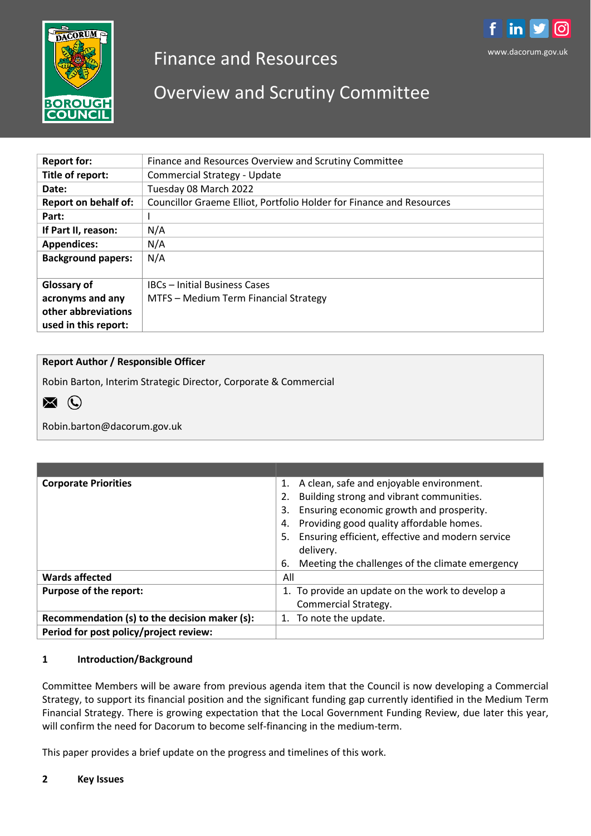

# Finance and Resources



# Overview and Scrutiny Committee

| <b>Report for:</b>          | Finance and Resources Overview and Scrutiny Committee                |
|-----------------------------|----------------------------------------------------------------------|
| Title of report:            | <b>Commercial Strategy - Update</b>                                  |
| Date:                       | Tuesday 08 March 2022                                                |
| <b>Report on behalf of:</b> | Councillor Graeme Elliot, Portfolio Holder for Finance and Resources |
| Part:                       |                                                                      |
| If Part II, reason:         | N/A                                                                  |
| <b>Appendices:</b>          | N/A                                                                  |
| <b>Background papers:</b>   | N/A                                                                  |
|                             |                                                                      |
| Glossary of                 | IBCs - Initial Business Cases                                        |
| acronyms and any            | MTFS - Medium Term Financial Strategy                                |
| other abbreviations         |                                                                      |
| used in this report:        |                                                                      |

# **Report Author / Responsible Officer**

Robin Barton, Interim Strategic Director, Corporate & Commercial



Robin.barton@dacorum.gov.uk

| <b>Corporate Priorities</b>                   | A clean, safe and enjoyable environment.<br>1.<br>Building strong and vibrant communities.<br>2.<br>Ensuring economic growth and prosperity.<br>3.<br>Providing good quality affordable homes.<br>4.<br>Ensuring efficient, effective and modern service<br>5. |
|-----------------------------------------------|----------------------------------------------------------------------------------------------------------------------------------------------------------------------------------------------------------------------------------------------------------------|
|                                               | delivery.                                                                                                                                                                                                                                                      |
|                                               | Meeting the challenges of the climate emergency<br>6.                                                                                                                                                                                                          |
| <b>Wards affected</b>                         | All                                                                                                                                                                                                                                                            |
| Purpose of the report:                        | 1. To provide an update on the work to develop a<br>Commercial Strategy.                                                                                                                                                                                       |
| Recommendation (s) to the decision maker (s): | 1. To note the update.                                                                                                                                                                                                                                         |
| Period for post policy/project review:        |                                                                                                                                                                                                                                                                |

#### **1 Introduction/Background**

Committee Members will be aware from previous agenda item that the Council is now developing a Commercial Strategy, to support its financial position and the significant funding gap currently identified in the Medium Term Financial Strategy. There is growing expectation that the Local Government Funding Review, due later this year, will confirm the need for Dacorum to become self-financing in the medium-term.

This paper provides a brief update on the progress and timelines of this work.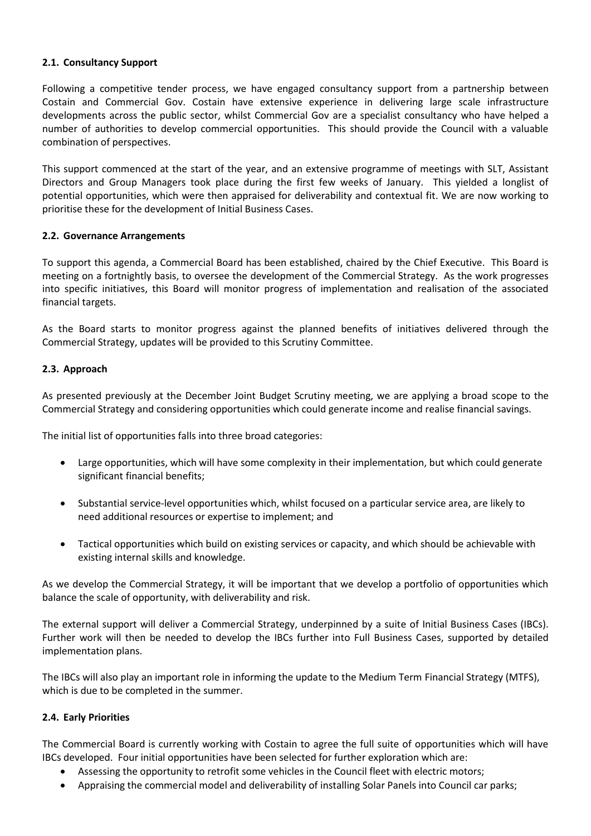### **2.1. Consultancy Support**

Following a competitive tender process, we have engaged consultancy support from a partnership between Costain and Commercial Gov. Costain have extensive experience in delivering large scale infrastructure developments across the public sector, whilst Commercial Gov are a specialist consultancy who have helped a number of authorities to develop commercial opportunities. This should provide the Council with a valuable combination of perspectives.

This support commenced at the start of the year, and an extensive programme of meetings with SLT, Assistant Directors and Group Managers took place during the first few weeks of January. This yielded a longlist of potential opportunities, which were then appraised for deliverability and contextual fit. We are now working to prioritise these for the development of Initial Business Cases.

# **2.2. Governance Arrangements**

To support this agenda, a Commercial Board has been established, chaired by the Chief Executive. This Board is meeting on a fortnightly basis, to oversee the development of the Commercial Strategy. As the work progresses into specific initiatives, this Board will monitor progress of implementation and realisation of the associated financial targets.

As the Board starts to monitor progress against the planned benefits of initiatives delivered through the Commercial Strategy, updates will be provided to this Scrutiny Committee.

# **2.3. Approach**

As presented previously at the December Joint Budget Scrutiny meeting, we are applying a broad scope to the Commercial Strategy and considering opportunities which could generate income and realise financial savings.

The initial list of opportunities falls into three broad categories:

- Large opportunities, which will have some complexity in their implementation, but which could generate significant financial benefits;
- Substantial service-level opportunities which, whilst focused on a particular service area, are likely to need additional resources or expertise to implement; and
- Tactical opportunities which build on existing services or capacity, and which should be achievable with existing internal skills and knowledge.

As we develop the Commercial Strategy, it will be important that we develop a portfolio of opportunities which balance the scale of opportunity, with deliverability and risk.

The external support will deliver a Commercial Strategy, underpinned by a suite of Initial Business Cases (IBCs). Further work will then be needed to develop the IBCs further into Full Business Cases, supported by detailed implementation plans.

The IBCs will also play an important role in informing the update to the Medium Term Financial Strategy (MTFS), which is due to be completed in the summer.

#### **2.4. Early Priorities**

The Commercial Board is currently working with Costain to agree the full suite of opportunities which will have IBCs developed. Four initial opportunities have been selected for further exploration which are:

- Assessing the opportunity to retrofit some vehicles in the Council fleet with electric motors;
- Appraising the commercial model and deliverability of installing Solar Panels into Council car parks;